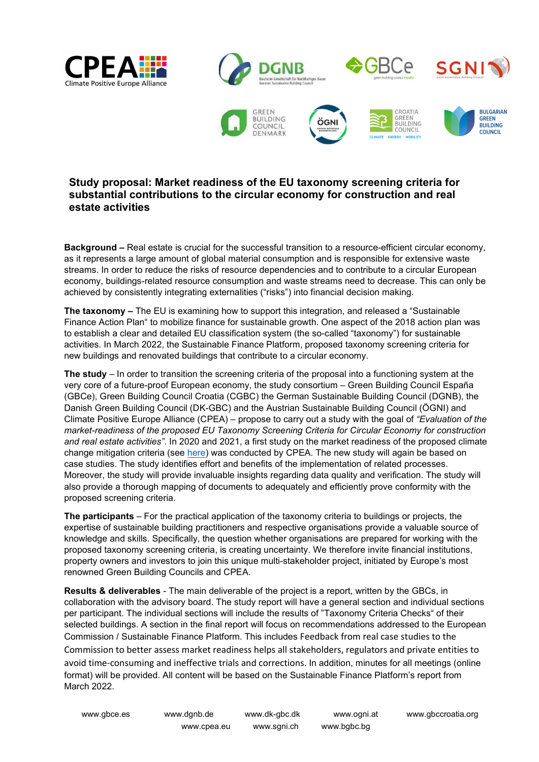



## Study proposal: Market readiness of the EU taxonomy screening criteria for substantial contributions to the circular economy for construction and real estate activities

Background – Real estate is crucial for the successful transition to a resource-efficient circular economy, as it represents a large amount of global material consumption and is responsible for extensive waste streams. In order to reduce the risks of resource dependencies and to contribute to a circular European economy, buildings-related resource consumption and waste streams need to decrease. This can only be achieved by consistently integrating externalities ("risks") into financial decision making.

The taxonomy – The EU is examining how to support this integration, and released a "Sustainable Finance Action Plan" to mobilize finance for sustainable growth. One aspect of the 2018 action plan was to establish a clear and detailed EU classification system (the so-called "taxonomy") for sustainable activities. In March 2022, the Sustainable Finance Platform, proposed taxonomy screening criteria for new buildings and renovated buildings that contribute to a circular economy.

The study – In order to transition the screening criteria of the proposal into a functioning system at the very core of a future-proof European economy, the study consortium – Green Building Council España (GBCe), Green Building Council Croatia (CGBC) the German Sustainable Building Council (DGNB), the Danish Green Building Council (DK-GBC) and the Austrian Sustainable Building Council (ÖGNI) and Climate Positive Europe Alliance (CPEA) – propose to carry out a study with the goal of "Evaluation of the market-readiness of the proposed EU Taxonomy Screening Criteria for Circular Economy for construction and real estate activities". In 2020 and 2021, a first study on the market readiness of the proposed climate change mitigation criteria (see here) was conducted by CPEA. The new study will again be based on case studies. The study identifies effort and benefits of the implementation of related processes. Moreover, the study will provide invaluable insights regarding data quality and verification. The study will also provide a thorough mapping of documents to adequately and efficiently prove conformity with the proposed screening criteria.

The participants – For the practical application of the taxonomy criteria to buildings or projects, the expertise of sustainable building practitioners and respective organisations provide a valuable source of knowledge and skills. Specifically, the question whether organisations are prepared for working with the proposed taxonomy screening criteria, is creating uncertainty. We therefore invite financial institutions, property owners and investors to join this unique multi-stakeholder project, initiated by Europe's most renowned Green Building Councils and CPEA.

Results & deliverables - The main deliverable of the project is a report, written by the GBCs, in collaboration with the advisory board. The study report will have a general section and individual sections per participant. The individual sections will include the results of "Taxonomy Criteria Checks" of their selected buildings. A section in the final report will focus on recommendations addressed to the European Commission / Sustainable Finance Platform. This includes Feedback from real case studies to the Commission to better assess market readiness helps all stakeholders, regulators and private entities to avoid time-consuming and ineffective trials and corrections. In addition, minutes for all meetings (online format) will be provided. All content will be based on the Sustainable Finance Platform's report from March 2022.

www.cpea.eu www.sgni.ch www.bgbc.bg

www.gbce.es www.dgnb.de www.dk-gbc.dk www.ogni.at www.gbccroatia.org